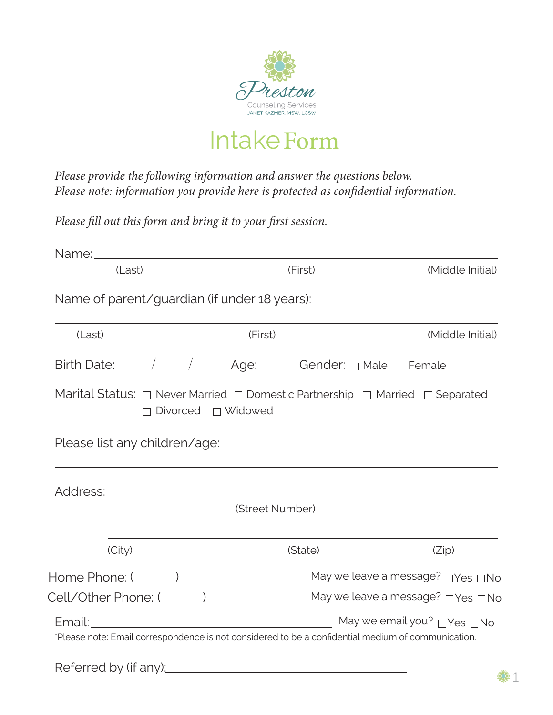

IntakeForm

*Please provide the following information and answer the questions below. Please note: information you provide here is protected as confidential information.*

*Please fill out this form and bring it to your first session.*

| Name of parent/guardian (if under 18 years):                                                                                                              |                 |                                    |
|-----------------------------------------------------------------------------------------------------------------------------------------------------------|-----------------|------------------------------------|
|                                                                                                                                                           |                 |                                    |
| (Last)                                                                                                                                                    | (First)         | (Middle Initial)                   |
| Birth Date: \____ \____ \____ Age: Gender: 0 Male 0 Female                                                                                                |                 |                                    |
| Marital Status: $\Box$ Never Married $\Box$ Domestic Partnership $\Box$ Married $\Box$ Separated<br>$\Box$ Divorced $\Box$ Widowed                        |                 |                                    |
| Please list any children/age:                                                                                                                             |                 |                                    |
|                                                                                                                                                           |                 |                                    |
|                                                                                                                                                           | (Street Number) |                                    |
| (City)                                                                                                                                                    | (State)         | (Zip)                              |
| Home Phone: (                                                                                                                                             |                 | May we leave a message? □ Yes □ No |
| Cell/Other Phone: (                                                                                                                                       |                 | May we leave a message? □ Yes □ No |
| Email: <u>Note of the May we email you?</u> Nes DNo<br>*Please note: Email correspondence is not considered to be a confidential medium of communication. |                 |                                    |

※1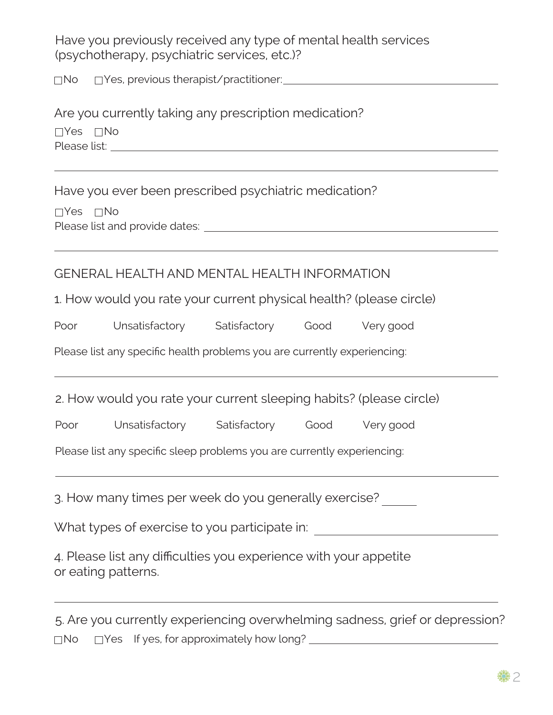Have you previously received any type of mental health services (psychotherapy, psychiatric services, etc.)?

No  $\Box$  Yes, previous therapist/practitioner:

Are you currently taking any prescription medication? Yes □No Please list: <u>with the set of the set of the set of the set of the set of the set of the set of the set of the set of the set of the set of the set of the set of the set of the set of the set of the set of the set of the s</u>

Have you ever been prescribed psychiatric medication?

Yes □No Please list and provide dates: **Figure 2018** 2019 12:00:00 Please list and provide dates:

| GENERAL HEALTH AND MENTAL HEALTH INFORMATION |  |
|----------------------------------------------|--|
|----------------------------------------------|--|

1. How would you rate your current physical health? (please circle)

| Poor | Unsatisfactory | Satisfactory | Good | Very good |
|------|----------------|--------------|------|-----------|
|      |                |              |      |           |

Please list any specific health problems you are currently experiencing:

2. How would you rate your current sleeping habits? (please circle)

|  | Poor | Unsatisfactory | Satisfactory | Good | Very good |
|--|------|----------------|--------------|------|-----------|
|--|------|----------------|--------------|------|-----------|

Please list any specific sleep problems you are currently experiencing:

3. How many times per week do you generally exercise?

What types of exercise to you participate in:

4. Please list any difficulties you experience with your appetite or eating patterns.

|  | 5. Are you currently experiencing overwhelming sadness, grief or depression? |
|--|------------------------------------------------------------------------------|
|  | $\Box$ No $\Box$ Yes If yes, for approximately how long?                     |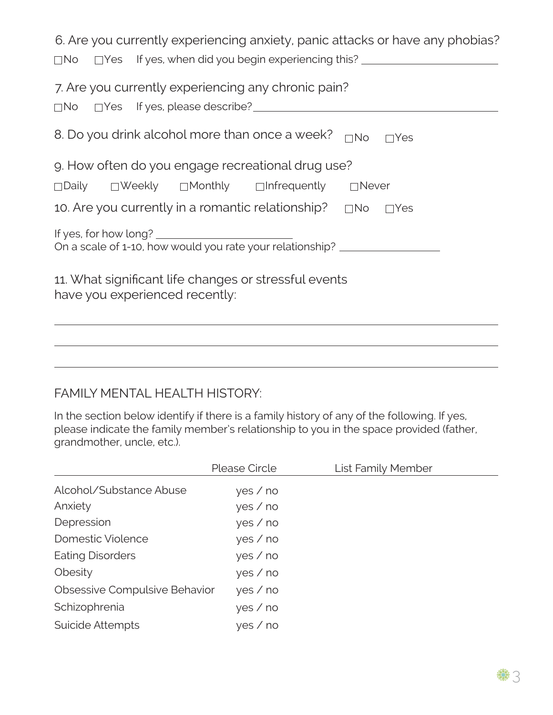| 6. Are you currently experiencing anxiety, panic attacks or have any phobias?<br>□No □Yes If yes, when did you begin experiencing this? ________________________ |
|------------------------------------------------------------------------------------------------------------------------------------------------------------------|
|                                                                                                                                                                  |
| 7. Are you currently experiencing any chronic pain?                                                                                                              |
| 8. Do you drink alcohol more than once a week?<br>$\Box$ No $\Box$ Yes                                                                                           |
| 9. How often do you engage recreational drug use?                                                                                                                |
| □Daily □Weekly □Monthly □Infrequently □Never                                                                                                                     |
| 10. Are you currently in a romantic relationship? $\Box$ No $\Box$ Yes                                                                                           |
| On a scale of 1-10, how would you rate your relationship? ______________________                                                                                 |
| 11. What significant life changes or stressful events<br>have you experienced recently:                                                                          |
|                                                                                                                                                                  |

## FAMILY MENTAL HEALTH HISTORY:

In the section below identify if there is a family history of any of the following. If yes, please indicate the family member's relationship to you in the space provided (father, grandmother, uncle, etc.).

|                               | Please Circle | <b>List Family Member</b> |
|-------------------------------|---------------|---------------------------|
| Alcohol/Substance Abuse       | yes / no      |                           |
| Anxiety                       | yes / no      |                           |
| Depression                    | yes / no      |                           |
| Domestic Violence             | yes / no      |                           |
| <b>Eating Disorders</b>       | yes / no      |                           |
| Obesity                       | yes / no      |                           |
| Obsessive Compulsive Behavior | yes / no      |                           |
| Schizophrenia                 | yes / no      |                           |
| Suicide Attempts              | yes / no      |                           |